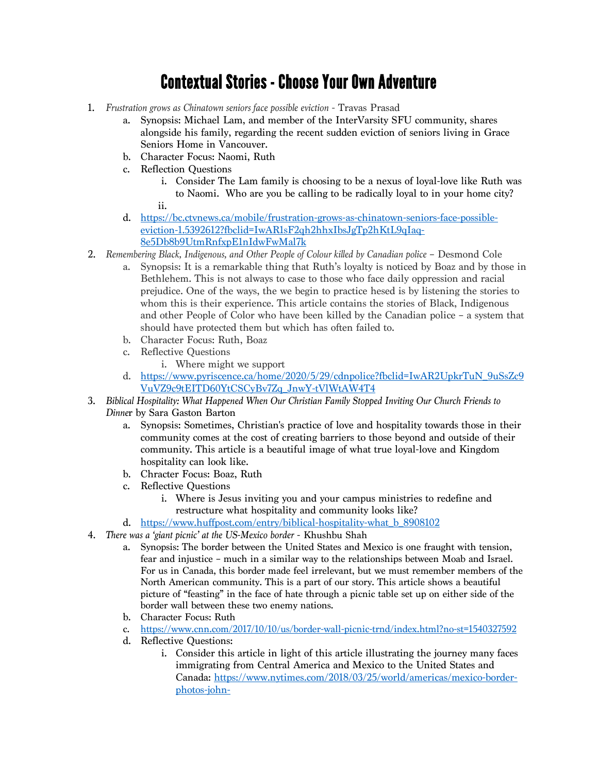## Contextual Stories - Choose Your Own Adventure

- 1. *Frustration grows as Chinatown seniors face possible eviction* Travas Prasad
	- a. Synopsis: Michael Lam, and member of the InterVarsity SFU community, shares alongside his family, regarding the recent sudden eviction of seniors living in Grace Seniors Home in Vancouver.
	- b. Character Focus: Naomi, Ruth
	- c. Reflection Questions
		- i. Consider The Lam family is choosing to be a nexus of loyal-love like Ruth was to Naomi. Who are you be calling to be radically loyal to in your home city?

ii.

- d. https://bc.ctvnews.ca/mobile/frustration-grows-as-chinatown-seniors-face-possibleeviction-1.5392612?fbclid=IwAR1sF2qh2hhxIbsJgTp2hKtL9qIaq-8e5Db8b9UtmRnfxpE1nIdwFwMal7k
- 2. *Remembering Black, Indigenous, and Other People of Colour killed by Canadian police* Desmond Cole
	- a. Synopsis: It is a remarkable thing that Ruth's loyalty is noticed by Boaz and by those in Bethlehem. This is not always to case to those who face daily oppression and racial prejudice. One of the ways, the we begin to practice hesed is by listening the stories to whom this is their experience. This article contains the stories of Black, Indigenous and other People of Color who have been killed by the Canadian police – a system that should have protected them but which has often failed to.
	- b. Character Focus: Ruth, Boaz
	- c. Reflective Questions
		- i. Where might we support
	- d. https://www.pyriscence.ca/home/2020/5/29/cdnpolice?fbclid=IwAR2UpkrTuN\_9uSsZc9 VuVZ9c9tEITD60YtCSCyBv7Zq\_JnwY-tVlWtAW4T4
- 3. *Biblical Hospitality: What Happened When Our Christian Family Stopped Inviting Our Church Friends to Dinne*r by Sara Gaston Barton
	- a. Synopsis: Sometimes, Christian's practice of love and hospitality towards those in their community comes at the cost of creating barriers to those beyond and outside of their community. This article is a beautiful image of what true loyal-love and Kingdom hospitality can look like.
	- b. Chracter Focus: Boaz, Ruth
	- c. Reflective Questions
		- i. Where is Jesus inviting you and your campus ministries to redefine and restructure what hospitality and community looks like?
	- d. https://www.huffpost.com/entry/biblical-hospitality-what b 8908102
- 4. *There was a 'giant picnic' at the US-Mexico border* Khushbu Shah
	- a. Synopsis: The border between the United States and Mexico is one fraught with tension, fear and injustice – much in a similar way to the relationships between Moab and Israel. For us in Canada, this border made feel irrelevant, but we must remember members of the North American community. This is a part of our story. This article shows a beautiful picture of "feasting" in the face of hate through a picnic table set up on either side of the border wall between these two enemy nations.
	- b. Character Focus: Ruth
	- c. https://www.cnn.com/2017/10/10/us/border-wall-picnic-trnd/index.html?no-st=1540327592
	- d. Reflective Questions:
		- i. Consider this article in light of this article illustrating the journey many faces immigrating from Central America and Mexico to the United States and Canada: https://www.nytimes.com/2018/03/25/world/americas/mexico-borderphotos-john-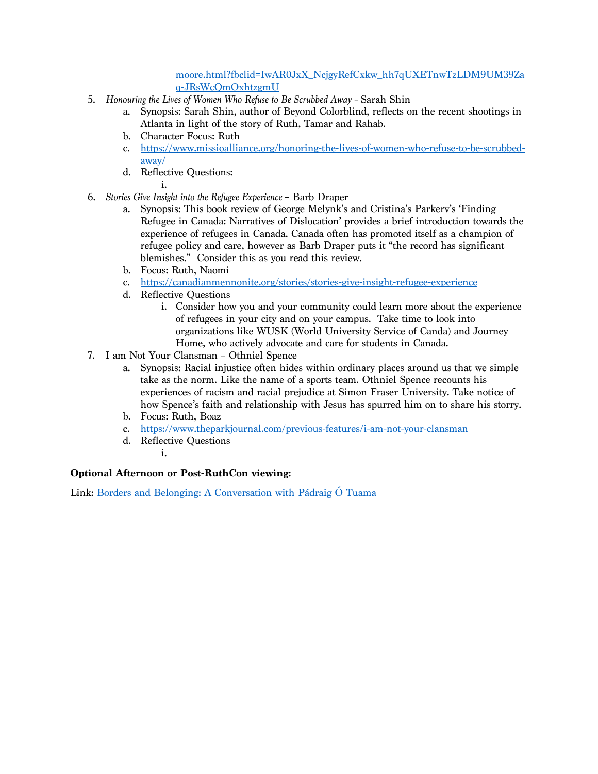## moore.html?fbclid=IwAR0JxX\_NcjgyRefCxkw\_hh7qUXETnwTzLDM9UM39Za q-JRsWcQmOxhtzgmU

- 5. *Honouring the Lives of Women Who Refuse to Be Scrubbed Away –* Sarah Shin
	- a. Synopsis: Sarah Shin, author of Beyond Colorblind, reflects on the recent shootings in Atlanta in light of the story of Ruth, Tamar and Rahab.
	- b. Character Focus: Ruth
	- c. https://www.missioalliance.org/honoring-the-lives-of-women-who-refuse-to-be-scrubbedaway/
	- d. Reflective Questions:
		- i.
- 6. *Stories Give Insight into the Refugee Experience*  Barb Draper
	- a. Synopsis: This book review of George Melynk's and Cristina's Parkerv's 'Finding Refugee in Canada: Narratives of Dislocation' provides a brief introduction towards the experience of refugees in Canada. Canada often has promoted itself as a champion of refugee policy and care, however as Barb Draper puts it "the record has significant blemishes." Consider this as you read this review.
	- b. Focus: Ruth, Naomi
	- c. https://canadianmennonite.org/stories/stories-give-insight-refugee-experience
	- d. Reflective Questions
		- i. Consider how you and your community could learn more about the experience of refugees in your city and on your campus. Take time to look into organizations like WUSK (World University Service of Canda) and Journey Home, who actively advocate and care for students in Canada.
- 7. I am Not Your Clansman Othniel Spence
	- a. Synopsis: Racial injustice often hides within ordinary places around us that we simple take as the norm. Like the name of a sports team. Othniel Spence recounts his experiences of racism and racial prejudice at Simon Fraser University. Take notice of how Spence's faith and relationship with Jesus has spurred him on to share his storry.
	- b. Focus: Ruth, Boaz
	- c. https://www.theparkjournal.com/previous-features/i-am-not-your-clansman
	- d. Reflective Questions
		- i.

## **Optional Afternoon or Post-RuthCon viewing:**

Link: Borders and Belonging: A Conversation with Pádraig Ó Tuama